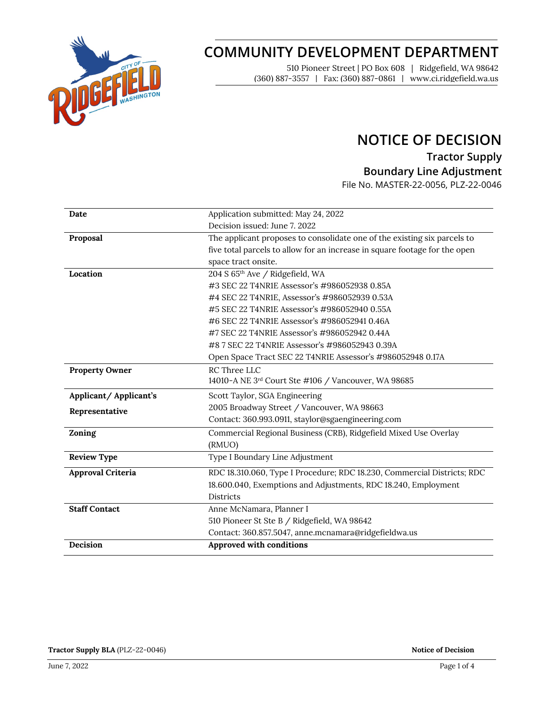

# **COMMUNITY DEVELOPMENT DEPARTMENT**

510 Pioneer Street | PO Box 608 | Ridgefield, WA 98642 (360) 887-3557 | Fax: (360) 887-0861 | www.ci.ridgefield.wa.us

### **NOTICE OF DECISION**

**Tractor Supply**

### **Boundary Line Adjustment**

File No. MASTER-22-0056, PLZ-22-0046

| Date                  | Application submitted: May 24, 2022                                        |
|-----------------------|----------------------------------------------------------------------------|
|                       | Decision issued: June 7. 2022                                              |
| Proposal              | The applicant proposes to consolidate one of the existing six parcels to   |
|                       | five total parcels to allow for an increase in square footage for the open |
|                       | space tract onsite.                                                        |
| Location              | 204 S 65 <sup>th</sup> Ave / Ridgefield, WA                                |
|                       | #3 SEC 22 T4NR1E Assessor's #986052938 0.85A                               |
|                       | #4 SEC 22 T4NR1E, Assessor's #986052939 0.53A                              |
|                       | #5 SEC 22 T4NR1E Assessor's #986052940 0.55A                               |
|                       | #6 SEC 22 T4NR1E Assessor's #986052941 0.46A                               |
|                       | #7 SEC 22 T4NR1E Assessor's #986052942 0.44A                               |
|                       | #87 SEC 22 T4NR1E Assessor's #986052943 0.39A                              |
|                       | Open Space Tract SEC 22 T4NR1E Assessor's #986052948 0.17A                 |
| <b>Property Owner</b> | RC Three LLC                                                               |
|                       | 14010-A NE 3rd Court Ste #106 / Vancouver, WA 98685                        |
| Applicant/Applicant's | Scott Taylor, SGA Engineering                                              |
| Representative        | 2005 Broadway Street / Vancouver, WA 98663                                 |
|                       | Contact: 360.993.0911, staylor@sgaengineering.com                          |
| Zoning                | Commercial Regional Business (CRB), Ridgefield Mixed Use Overlay           |
|                       | (RMUO)                                                                     |
| <b>Review Type</b>    | Type I Boundary Line Adjustment                                            |
| Approval Criteria     | RDC 18.310.060, Type I Procedure; RDC 18.230, Commercial Districts; RDC    |
|                       | 18.600.040, Exemptions and Adjustments, RDC 18.240, Employment             |
|                       | <b>Districts</b>                                                           |
| <b>Staff Contact</b>  | Anne McNamara, Planner I                                                   |
|                       | 510 Pioneer St Ste B / Ridgefield, WA 98642                                |
|                       | Contact: 360.857.5047, anne.mcnamara@ridgefieldwa.us                       |
| Decision              | Approved with conditions                                                   |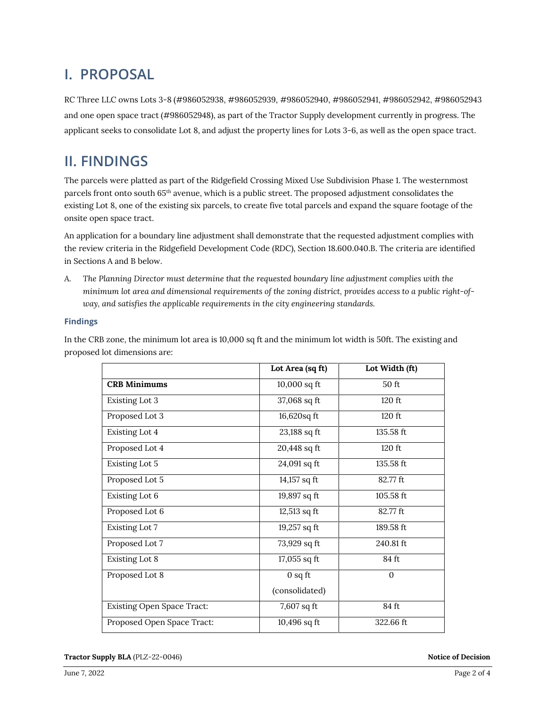## **I. PROPOSAL**

RC Three LLC owns Lots 3-8 (#986052938, #986052939, #986052940, #986052941, #986052942, #986052943 and one open space tract (#986052948), as part of the Tractor Supply development currently in progress. The applicant seeks to consolidate Lot 8, and adjust the property lines for Lots 3-6, as well as the open space tract.

## **II. FINDINGS**

The parcels were platted as part of the Ridgefield Crossing Mixed Use Subdivision Phase 1. The westernmost parcels front onto south 65th avenue, which is a public street. The proposed adjustment consolidates the existing Lot 8, one of the existing six parcels, to create five total parcels and expand the square footage of the onsite open space tract.

An application for a boundary line adjustment shall demonstrate that the requested adjustment complies with the review criteria in the Ridgefield Development Code (RDC), Section 18.600.040.B. The criteria are identified in Sections A and B below.

*A. The Planning Director must determine that the requested boundary line adjustment complies with the minimum lot area and dimensional requirements of the zoning district, provides access to a public right-ofway, and satisfies the applicable requirements in the city engineering standards.*

#### **Findings**

|                                   | Lot Area (sq ft) | Lot Width (ft) |
|-----------------------------------|------------------|----------------|
| <b>CRB Minimums</b>               | 10,000 sq ft     | $50$ ft        |
| Existing Lot 3                    | 37,068 sq ft     | $120$ ft       |
| Proposed Lot 3                    | 16,620sq ft      | $120$ ft       |
| Existing Lot 4                    | 23,188 sq ft     | 135.58 ft      |
| Proposed Lot 4                    | 20,448 sq ft     | 120 ft         |
| Existing Lot 5                    | 24,091 sq ft     | 135.58 ft      |
| Proposed Lot 5                    | 14,157 sq ft     | 82.77 ft       |
| Existing Lot 6                    | 19,897 sq ft     | 105.58 ft      |
| Proposed Lot 6                    | 12,513 sq ft     | 82.77 ft       |
| <b>Existing Lot 7</b>             | 19,257 sq ft     | 189.58 ft      |
| Proposed Lot 7                    | 73,929 sq ft     | 240.81 ft      |
| Existing Lot 8                    | $17,055$ sq ft   | 84 ft          |
| Proposed Lot 8                    | $0$ sq ft        | $\Omega$       |
|                                   | (consolidated)   |                |
| <b>Existing Open Space Tract:</b> | 7,607 sq ft      | 84 ft          |
| Proposed Open Space Tract:        | 10,496 sq ft     | 322.66 ft      |

In the CRB zone, the minimum lot area is 10,000 sq ft and the minimum lot width is 50ft. The existing and proposed lot dimensions are: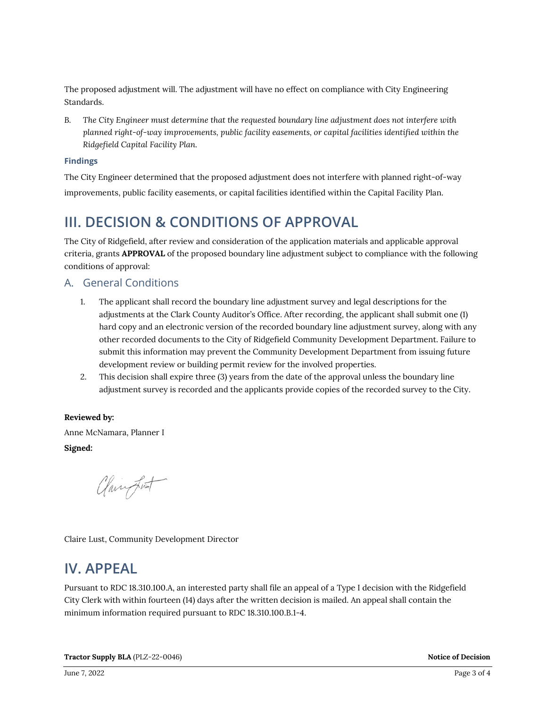The proposed adjustment will. The adjustment will have no effect on compliance with City Engineering Standards.

*B. The City Engineer must determine that the requested boundary line adjustment does not interfere with planned right-of-way improvements, public facility easements, or capital facilities identified within the Ridgefield Capital Facility Plan.*

#### **Findings**

The City Engineer determined that the proposed adjustment does not interfere with planned right-of-way improvements, public facility easements, or capital facilities identified within the Capital Facility Plan.

### **III. DECISION & CONDITIONS OF APPROVAL**

The City of Ridgefield, after review and consideration of the application materials and applicable approval criteria, grants **APPROVAL** of the proposed boundary line adjustment subject to compliance with the following conditions of approval:

### A. General Conditions

- 1. The applicant shall record the boundary line adjustment survey and legal descriptions for the adjustments at the Clark County Auditor's Office. After recording, the applicant shall submit one (1) hard copy and an electronic version of the recorded boundary line adjustment survey, along with any other recorded documents to the City of Ridgefield Community Development Department. Failure to submit this information may prevent the Community Development Department from issuing future development review or building permit review for the involved properties.
- 2. This decision shall expire three (3) years from the date of the approval unless the boundary line adjustment survey is recorded and the applicants provide copies of the recorded survey to the City.

#### **Reviewed by:**

Anne McNamara, Planner I **Signed:** 

Claimport

Claire Lust, Community Development Director

### **IV. APPEAL**

Pursuant to RDC 18.310.100.A, an interested party shall file an appeal of a Type I decision with the Ridgefield City Clerk with within fourteen (14) days after the written decision is mailed. An appeal shall contain the minimum information required pursuant to RDC 18.310.100.B.1-4.